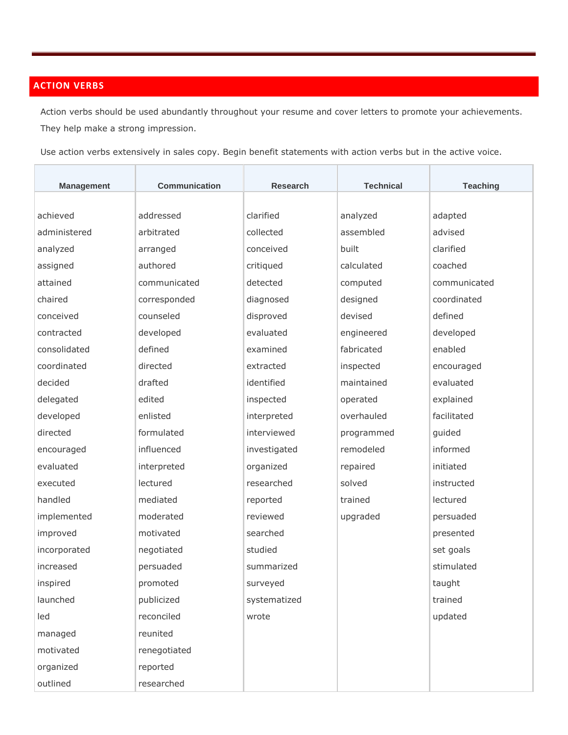## **ACTION VERBS**

Action verbs should be used abundantly throughout your resume and cover letters to promote your achievements. They help make a strong impression.

Use action verbs extensively in sales copy. Begin benefit statements with action verbs but in the active voice.

| <b>Management</b> | Communication | <b>Research</b> | <b>Technical</b> | <b>Teaching</b> |
|-------------------|---------------|-----------------|------------------|-----------------|
|                   |               |                 |                  |                 |
| achieved          | addressed     | clarified       | analyzed         | adapted         |
| administered      | arbitrated    | collected       | assembled        | advised         |
| analyzed          | arranged      | conceived       | built            | clarified       |
| assigned          | authored      | critiqued       | calculated       | coached         |
| attained          | communicated  | detected        | computed         | communicated    |
| chaired           | corresponded  | diagnosed       | designed         | coordinated     |
| conceived         | counseled     | disproved       | devised          | defined         |
| contracted        | developed     | evaluated       | engineered       | developed       |
| consolidated      | defined       | examined        | fabricated       | enabled         |
| coordinated       | directed      | extracted       | inspected        | encouraged      |
| decided           | drafted       | identified      | maintained       | evaluated       |
| delegated         | edited        | inspected       | operated         | explained       |
| developed         | enlisted      | interpreted     | overhauled       | facilitated     |
| directed          | formulated    | interviewed     | programmed       | guided          |
| encouraged        | influenced    | investigated    | remodeled        | informed        |
| evaluated         | interpreted   | organized       | repaired         | initiated       |
| executed          | lectured      | researched      | solved           | instructed      |
| handled           | mediated      | reported        | trained          | lectured        |
| implemented       | moderated     | reviewed        | upgraded         | persuaded       |
| improved          | motivated     | searched        |                  | presented       |
| incorporated      | negotiated    | studied         |                  | set goals       |
| increased         | persuaded     | summarized      |                  | stimulated      |
| inspired          | promoted      | surveyed        |                  | taught          |
| launched          | publicized    | systematized    |                  | trained         |
| led               | reconciled    | wrote           |                  | updated         |
| managed           | reunited      |                 |                  |                 |
| motivated         | renegotiated  |                 |                  |                 |
| organized         | reported      |                 |                  |                 |
| outlined          | researched    |                 |                  |                 |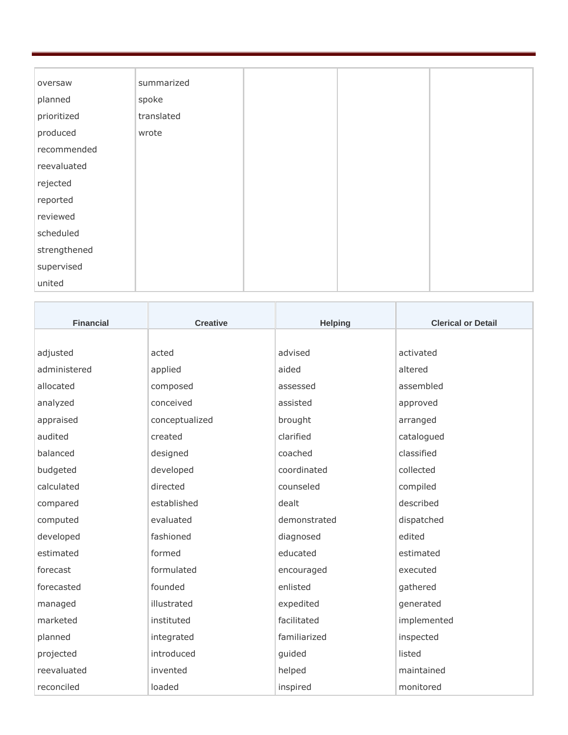| oversaw      | summarized |
|--------------|------------|
| planned      | spoke      |
| prioritized  | translated |
| produced     | wrote      |
| recommended  |            |
| reevaluated  |            |
| rejected     |            |
| reported     |            |
| reviewed     |            |
| scheduled    |            |
| strengthened |            |
| supervised   |            |
| united       |            |

| <b>Financial</b> | <b>Creative</b> | <b>Helping</b> | <b>Clerical or Detail</b> |
|------------------|-----------------|----------------|---------------------------|
|                  |                 |                |                           |
| adjusted         | acted           | advised        | activated                 |
| administered     | applied         | aided          | altered                   |
| allocated        | composed        | assessed       | assembled                 |
| analyzed         | conceived       | assisted       | approved                  |
| appraised        | conceptualized  | brought        | arranged                  |
| audited          | created         | clarified      | catalogued                |
| balanced         | designed        | coached        | classified                |
| budgeted         | developed       | coordinated    | collected                 |
| calculated       | directed        | counseled      | compiled                  |
| compared         | established     | dealt          | described                 |
| computed         | evaluated       | demonstrated   | dispatched                |
| developed        | fashioned       | diagnosed      | edited                    |
| estimated        | formed          | educated       | estimated                 |
| forecast         | formulated      | encouraged     | executed                  |
| forecasted       | founded         | enlisted       | gathered                  |
| managed          | illustrated     | expedited      | generated                 |
| marketed         | instituted      | facilitated    | implemented               |
| planned          | integrated      | familiarized   | inspected                 |
| projected        | introduced      | guided         | listed                    |
| reevaluated      | invented        | helped         | maintained                |
| reconciled       | loaded          | inspired       | monitored                 |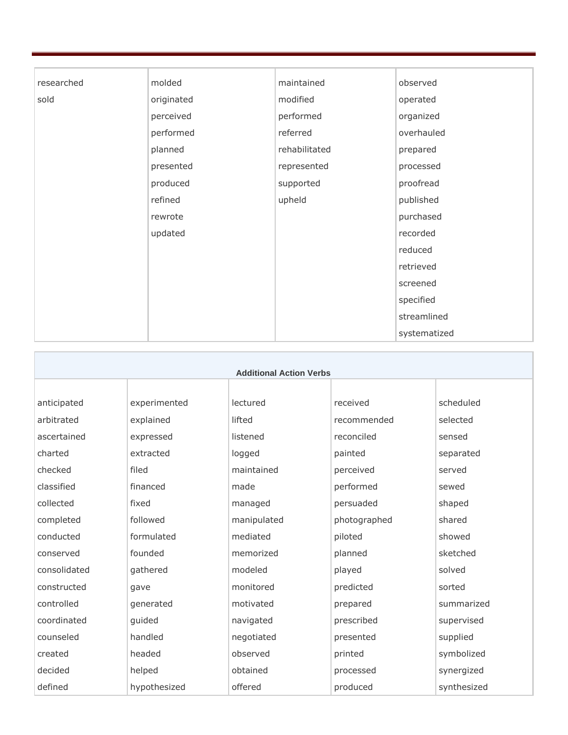| researched | molded     | maintained    | observed     |
|------------|------------|---------------|--------------|
| sold       | originated | modified      | operated     |
|            | perceived  | performed     | organized    |
|            | performed  | referred      | overhauled   |
|            | planned    | rehabilitated | prepared     |
|            | presented  | represented   | processed    |
|            | produced   | supported     | proofread    |
|            | refined    | upheld        | published    |
|            | rewrote    |               | purchased    |
|            | updated    |               | recorded     |
|            |            |               | reduced      |
|            |            |               | retrieved    |
|            |            |               | screened     |
|            |            |               | specified    |
|            |            |               | streamlined  |
|            |            |               | systematized |

| <b>Additional Action Verbs</b> |              |             |              |             |
|--------------------------------|--------------|-------------|--------------|-------------|
|                                |              |             |              |             |
| anticipated                    | experimented | lectured    | received     | scheduled   |
| arbitrated                     | explained    | lifted      | recommended  | selected    |
| ascertained                    | expressed    | listened    | reconciled   | sensed      |
| charted                        | extracted    | logged      | painted      | separated   |
| checked                        | filed        | maintained  | perceived    | served      |
| classified                     | financed     | made        | performed    | sewed       |
| collected                      | fixed        | managed     | persuaded    | shaped      |
| completed                      | followed     | manipulated | photographed | shared      |
| conducted                      | formulated   | mediated    | piloted      | showed      |
| conserved                      | founded      | memorized   | planned      | sketched    |
| consolidated                   | gathered     | modeled     | played       | solved      |
| constructed                    | gave         | monitored   | predicted    | sorted      |
| controlled                     | generated    | motivated   | prepared     | summarized  |
| coordinated                    | guided       | navigated   | prescribed   | supervised  |
| counseled                      | handled      | negotiated  | presented    | supplied    |
| created                        | headed       | observed    | printed      | symbolized  |
| decided                        | helped       | obtained    | processed    | synergized  |
| defined                        | hypothesized | offered     | produced     | synthesized |